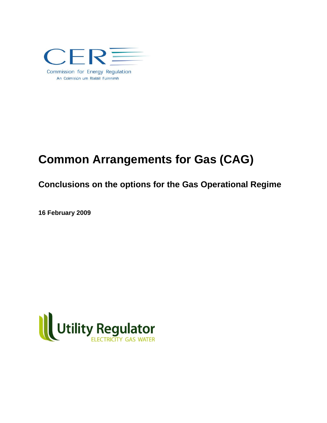

# **Common Arrangements for Gas (CAG)**

## **Conclusions on the options for the Gas Operational Regime**

**16 February 2009**

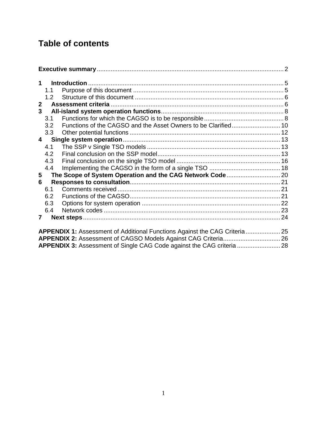## **Table of contents**

| $\mathbf 1$    |                                                                             |  |  |  |
|----------------|-----------------------------------------------------------------------------|--|--|--|
|                | 1.1                                                                         |  |  |  |
|                | 1.2                                                                         |  |  |  |
| $\overline{2}$ |                                                                             |  |  |  |
| 3 <sup>1</sup> |                                                                             |  |  |  |
|                | 3.1                                                                         |  |  |  |
|                | 3.2                                                                         |  |  |  |
|                | 3.3                                                                         |  |  |  |
|                | $\overline{\mathbf{4}}$                                                     |  |  |  |
|                | 4.1                                                                         |  |  |  |
|                | 4.2                                                                         |  |  |  |
|                | 4.3                                                                         |  |  |  |
|                | 4.4                                                                         |  |  |  |
| 5              |                                                                             |  |  |  |
| 6              |                                                                             |  |  |  |
|                | 6.1                                                                         |  |  |  |
|                | 6.2                                                                         |  |  |  |
|                | 6.3                                                                         |  |  |  |
|                | 6.4                                                                         |  |  |  |
| $\mathbf{7}$   |                                                                             |  |  |  |
|                |                                                                             |  |  |  |
|                | APPENDIX 1: Assessment of Additional Functions Against the CAG Criteria  25 |  |  |  |
|                |                                                                             |  |  |  |
|                |                                                                             |  |  |  |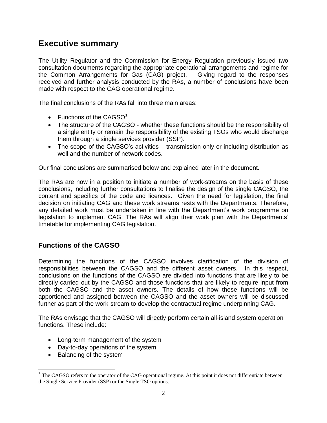## <span id="page-2-0"></span>**Executive summary**

The Utility Regulator and the Commission for Energy Regulation previously issued two consultation documents regarding the appropriate operational arrangements and regime for the Common Arrangements for Gas (CAG) project. Giving regard to the responses received and further analysis conducted by the RAs, a number of conclusions have been made with respect to the CAG operational regime.

The final conclusions of the RAs fall into three main areas:

- Functions of the CAGSO $1$
- The structure of the CAGSO whether these functions should be the responsibility of a single entity or remain the responsibility of the existing TSOs who would discharge them through a single services provider (SSP).
- The scope of the CAGSO's activities transmission only or including distribution as well and the number of network codes.

Our final conclusions are summarised below and explained later in the document.

The RAs are now in a position to initiate a number of work-streams on the basis of these conclusions, including further consultations to finalise the design of the single CAGSO, the content and specifics of the code and licences. Given the need for legislation, the final decision on initiating CAG and these work streams rests with the Departments. Therefore, any detailed work must be undertaken in line with the Department's work programme on legislation to implement CAG. The RAs will align their work plan with the Departments' timetable for implementing CAG legislation.

### **Functions of the CAGSO**

Determining the functions of the CAGSO involves clarification of the division of responsibilities between the CAGSO and the different asset owners. In this respect, conclusions on the functions of the CAGSO are divided into functions that are likely to be directly carried out by the CAGSO and those functions that are likely to require input from both the CAGSO and the asset owners. The details of how these functions will be apportioned and assigned between the CAGSO and the asset owners will be discussed further as part of the work-stream to develop the contractual regime underpinning CAG.

The RAs envisage that the CAGSO will directly perform certain all-island system operation functions. These include:

- Long-term management of the system
- Day-to-day operations of the system
- Balancing of the system

 $\overline{a}$ 

 $1$  The CAGSO refers to the operator of the CAG operational regime. At this point it does not differentiate between the Single Service Provider (SSP) or the Single TSO options.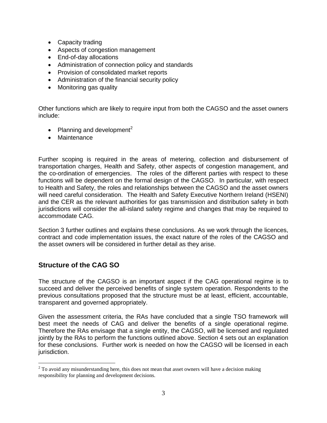- Capacity trading
- Aspects of congestion management
- End-of-day allocations
- Administration of connection policy and standards
- Provision of consolidated market reports
- Administration of the financial security policy
- Monitoring gas quality

Other functions which are likely to require input from both the CAGSO and the asset owners include:

- Planning and development<sup>2</sup>
- Maintenance

Further scoping is required in the areas of metering, collection and disbursement of transportation charges, Health and Safety, other aspects of congestion management, and the co-ordination of emergencies. The roles of the different parties with respect to these functions will be dependent on the formal design of the CAGSO. In particular, with respect to Health and Safety, the roles and relationships between the CAGSO and the asset owners will need careful consideration. The Health and Safety Executive Northern Ireland (HSENI) and the CER as the relevant authorities for gas transmission and distribution safety in both jurisdictions will consider the all-island safety regime and changes that may be required to accommodate CAG.

Section 3 further outlines and explains these conclusions. As we work through the licences, contract and code implementation issues, the exact nature of the roles of the CAGSO and the asset owners will be considered in further detail as they arise.

### **Structure of the CAG SO**

 $\overline{a}$ 

The structure of the CAGSO is an important aspect if the CAG operational regime is to succeed and deliver the perceived benefits of single system operation. Respondents to the previous consultations proposed that the structure must be at least, efficient, accountable, transparent and governed appropriately.

Given the assessment criteria, the RAs have concluded that a single TSO framework will best meet the needs of CAG and deliver the benefits of a single operational regime. Therefore the RAs envisage that a single entity, the CAGSO, will be licensed and regulated jointly by the RAs to perform the functions outlined above. Section 4 sets out an explanation for these conclusions. Further work is needed on how the CAGSO will be licensed in each jurisdiction.

 $2$  To avoid any misunderstanding here, this does not mean that asset owners will have a decision making responsibility for planning and development decisions.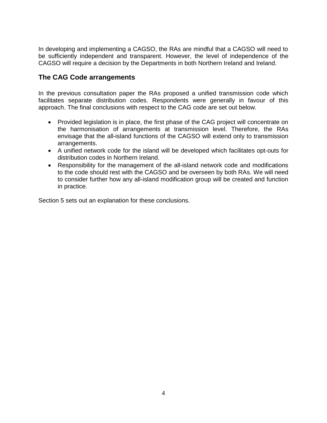In developing and implementing a CAGSO, the RAs are mindful that a CAGSO will need to be sufficiently independent and transparent. However, the level of independence of the CAGSO will require a decision by the Departments in both Northern Ireland and Ireland.

### **The CAG Code arrangements**

In the previous consultation paper the RAs proposed a unified transmission code which facilitates separate distribution codes. Respondents were generally in favour of this approach. The final conclusions with respect to the CAG code are set out below.

- Provided legislation is in place, the first phase of the CAG project will concentrate on the harmonisation of arrangements at transmission level. Therefore, the RAs envisage that the all-island functions of the CAGSO will extend only to transmission arrangements.
- A unified network code for the island will be developed which facilitates opt-outs for distribution codes in Northern Ireland.
- Responsibility for the management of the all-island network code and modifications to the code should rest with the CAGSO and be overseen by both RAs. We will need to consider further how any all-island modification group will be created and function in practice.

Section 5 sets out an explanation for these conclusions.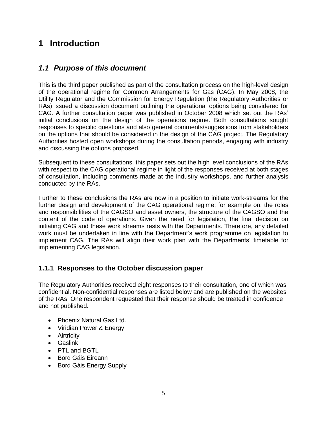## <span id="page-5-0"></span>**1 Introduction**

## <span id="page-5-1"></span>*1.1 Purpose of this document*

This is the third paper published as part of the consultation process on the high-level design of the operational regime for Common Arrangements for Gas (CAG). In May 2008, the Utility Regulator and the Commission for Energy Regulation (the Regulatory Authorities or RAs) issued a discussion document outlining the operational options being considered for CAG. A further consultation paper was published in October 2008 which set out the RAs' initial conclusions on the design of the operations regime. Both consultations sought responses to specific questions and also general comments/suggestions from stakeholders on the options that should be considered in the design of the CAG project. The Regulatory Authorities hosted open workshops during the consultation periods, engaging with industry and discussing the options proposed.

Subsequent to these consultations, this paper sets out the high level conclusions of the RAs with respect to the CAG operational regime in light of the responses received at both stages of consultation, including comments made at the industry workshops, and further analysis conducted by the RAs.

Further to these conclusions the RAs are now in a position to initiate work-streams for the further design and development of the CAG operational regime; for example on, the roles and responsibilities of the CAGSO and asset owners, the structure of the CAGSO and the content of the code of operations. Given the need for legislation, the final decision on initiating CAG and these work streams rests with the Departments. Therefore, any detailed work must be undertaken in line with the Department's work programme on legislation to implement CAG. The RAs will align their work plan with the Departments' timetable for implementing CAG legislation.

### **1.1.1 Responses to the October discussion paper**

The Regulatory Authorities received eight responses to their consultation, one of which was confidential. Non-confidential responses are listed below and are published on the websites of the RAs. One respondent requested that their response should be treated in confidence and not published.

- Phoenix Natural Gas Ltd.
- Viridian Power & Energy
- **•** Airtricity
- Gaslink
- PTL and BGTL
- Bord Gáis Eireann
- Bord Gáis Energy Supply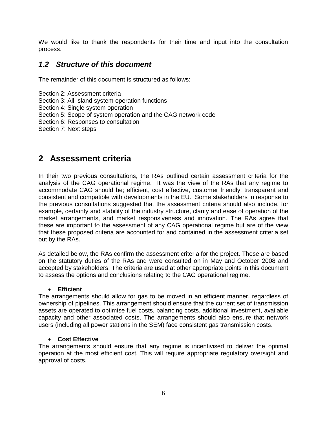We would like to thank the respondents for their time and input into the consultation process.

## <span id="page-6-0"></span>*1.2 Structure of this document*

The remainder of this document is structured as follows:

- Section 2: Assessment criteria
- Section 3: All-island system operation functions
- Section 4: Single system operation
- Section 5: Scope of system operation and the CAG network code
- Section 6: Responses to consultation

Section 7: Next steps

## <span id="page-6-1"></span>**2 Assessment criteria**

In their two previous consultations, the RAs outlined certain assessment criteria for the analysis of the CAG operational regime. It was the view of the RAs that any regime to accommodate CAG should be; efficient, cost effective, customer friendly, transparent and consistent and compatible with developments in the EU. Some stakeholders in response to the previous consultations suggested that the assessment criteria should also include, for example, certainty and stability of the industry structure, clarity and ease of operation of the market arrangements, and market responsiveness and innovation. The RAs agree that these are important to the assessment of any CAG operational regime but are of the view that these proposed criteria are accounted for and contained in the assessment criteria set out by the RAs.

As detailed below, the RAs confirm the assessment criteria for the project. These are based on the statutory duties of the RAs and were consulted on in May and October 2008 and accepted by stakeholders. The criteria are used at other appropriate points in this document to assess the options and conclusions relating to the CAG operational regime.

#### **Efficient**

The arrangements should allow for gas to be moved in an efficient manner, regardless of ownership of pipelines. This arrangement should ensure that the current set of transmission assets are operated to optimise fuel costs, balancing costs, additional investment, available capacity and other associated costs. The arrangements should also ensure that network users (including all power stations in the SEM) face consistent gas transmission costs.

### **Cost Effective**

The arrangements should ensure that any regime is incentivised to deliver the optimal operation at the most efficient cost. This will require appropriate regulatory oversight and approval of costs.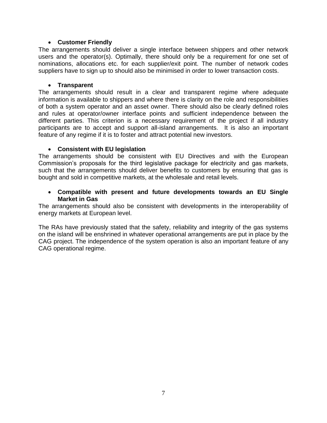#### **Customer Friendly**

The arrangements should deliver a single interface between shippers and other network users and the operator(s). Optimally, there should only be a requirement for one set of nominations, allocations etc. for each supplier/exit point. The number of network codes suppliers have to sign up to should also be minimised in order to lower transaction costs.

#### **Transparent**

The arrangements should result in a clear and transparent regime where adequate information is available to shippers and where there is clarity on the role and responsibilities of both a system operator and an asset owner. There should also be clearly defined roles and rules at operator/owner interface points and sufficient independence between the different parties. This criterion is a necessary requirement of the project if all industry participants are to accept and support all-island arrangements. It is also an important feature of any regime if it is to foster and attract potential new investors.

#### **Consistent with EU legislation**

The arrangements should be consistent with EU Directives and with the European Commission's proposals for the third legislative package for electricity and gas markets, such that the arrangements should deliver benefits to customers by ensuring that gas is bought and sold in competitive markets, at the wholesale and retail levels.

#### **Compatible with present and future developments towards an EU Single Market in Gas**

The arrangements should also be consistent with developments in the interoperability of energy markets at European level.

The RAs have previously stated that the safety, reliability and integrity of the gas systems on the island will be enshrined in whatever operational arrangements are put in place by the CAG project. The independence of the system operation is also an important feature of any CAG operational regime.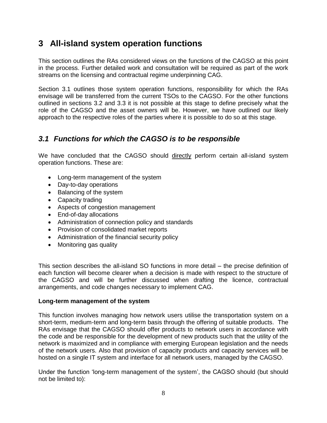## <span id="page-8-0"></span>**3 All-island system operation functions**

This section outlines the RAs considered views on the functions of the CAGSO at this point in the process. Further detailed work and consultation will be required as part of the work streams on the licensing and contractual regime underpinning CAG.

Section 3.1 outlines those system operation functions, responsibility for which the RAs envisage will be transferred from the current TSOs to the CAGSO. For the other functions outlined in sections 3.2 and 3.3 it is not possible at this stage to define precisely what the role of the CAGSO and the asset owners will be. However, we have outlined our likely approach to the respective roles of the parties where it is possible to do so at this stage.

## <span id="page-8-1"></span>*3.1 Functions for which the CAGSO is to be responsible*

We have concluded that the CAGSO should directly perform certain all-island system operation functions. These are:

- Long-term management of the system
- Day-to-day operations
- Balancing of the system
- Capacity trading
- Aspects of congestion management
- End-of-day allocations
- Administration of connection policy and standards
- Provision of consolidated market reports
- Administration of the financial security policy
- Monitoring gas quality

This section describes the all-island SO functions in more detail – the precise definition of each function will become clearer when a decision is made with respect to the structure of the CAGSO and will be further discussed when drafting the licence, contractual arrangements, and code changes necessary to implement CAG.

### **Long-term management of the system**

This function involves managing how network users utilise the transportation system on a short-term, medium-term and long-term basis through the offering of suitable products. The RAs envisage that the CAGSO should offer products to network users in accordance with the code and be responsible for the development of new products such that the utility of the network is maximized and in compliance with emerging European legislation and the needs of the network users. Also that provision of capacity products and capacity services will be hosted on a single IT system and interface for all network users, managed by the CAGSO.

Under the function 'long-term management of the system', the CAGSO should (but should not be limited to):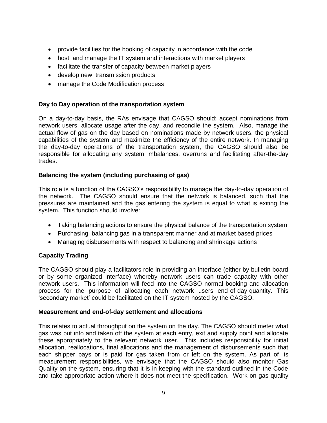- provide facilities for the booking of capacity in accordance with the code
- host and manage the IT system and interactions with market players
- facilitate the transfer of capacity between market players
- develop new transmission products
- manage the Code Modification process

### **Day to Day operation of the transportation system**

On a day-to-day basis, the RAs envisage that CAGSO should; accept nominations from network users, allocate usage after the day, and reconcile the system. Also, manage the actual flow of gas on the day based on nominations made by network users, the physical capabilities of the system and maximize the efficiency of the entire network. In managing the day-to-day operations of the transportation system, the CAGSO should also be responsible for allocating any system imbalances, overruns and facilitating after-the-day trades.

### **Balancing the system (including purchasing of gas)**

This role is a function of the CAGSO's responsibility to manage the day-to-day operation of the network. The CAGSO should ensure that the network is balanced, such that the pressures are maintained and the gas entering the system is equal to what is exiting the system. This function should involve:

- Taking balancing actions to ensure the physical balance of the transportation system
- Purchasing balancing gas in a transparent manner and at market based prices
- Managing disbursements with respect to balancing and shrinkage actions

### **Capacity Trading**

The CAGSO should play a facilitators role in providing an interface (either by bulletin board or by some organized interface) whereby network users can trade capacity with other network users. This information will feed into the CAGSO normal booking and allocation process for the purpose of allocating each network users end-of-day-quantity. This 'secondary market' could be facilitated on the IT system hosted by the CAGSO.

### **Measurement and end-of-day settlement and allocations**

This relates to actual throughput on the system on the day. The CAGSO should meter what gas was put into and taken off the system at each entry, exit and supply point and allocate these appropriately to the relevant network user. This includes responsibility for initial allocation, reallocations, final allocations and the management of disbursements such that each shipper pays or is paid for gas taken from or left on the system. As part of its measurement responsibilities, we envisage that the CAGSO should also monitor Gas Quality on the system, ensuring that it is in keeping with the standard outlined in the Code and take appropriate action where it does not meet the specification. Work on gas quality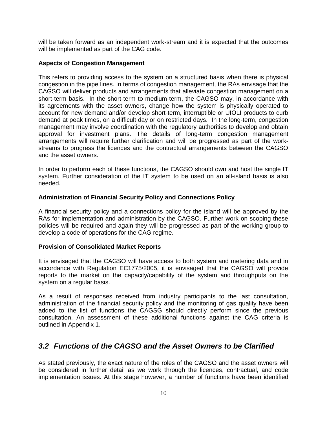will be taken forward as an independent work-stream and it is expected that the outcomes will be implemented as part of the CAG code.

### **Aspects of Congestion Management**

This refers to providing access to the system on a structured basis when there is physical congestion in the pipe lines. In terms of congestion management, the RAs envisage that the CAGSO will deliver products and arrangements that alleviate congestion management on a short-term basis. In the short-term to medium-term, the CAGSO may, in accordance with its agreements with the asset owners, change how the system is physically operated to account for new demand and/or develop short-term, interruptible or UIOLI products to curb demand at peak times, on a difficult day or on restricted days. In the long-term, congestion management may involve coordination with the regulatory authorities to develop and obtain approval for investment plans. The details of long-term congestion management arrangements will require further clarification and will be progressed as part of the workstreams to progress the licences and the contractual arrangements between the CAGSO and the asset owners.

In order to perform each of these functions, the CAGSO should own and host the single IT system. Further consideration of the IT system to be used on an all-island basis is also needed.

### **Administration of Financial Security Policy and Connections Policy**

A financial security policy and a connections policy for the island will be approved by the RAs for implementation and administration by the CAGSO. Further work on scoping these policies will be required and again they will be progressed as part of the working group to develop a code of operations for the CAG regime.

### **Provision of Consolidated Market Reports**

It is envisaged that the CAGSO will have access to both system and metering data and in accordance with Regulation EC1775/2005, it is envisaged that the CAGSO will provide reports to the market on the capacity/capability of the system and throughputs on the system on a regular basis.

As a result of responses received from industry participants to the last consultation, administration of the financial security policy and the monitoring of gas quality have been added to the list of functions the CAGSG should directly perform since the previous consultation. An assessment of these additional functions against the CAG criteria is outlined in Appendix 1.

## <span id="page-10-0"></span>*3.2 Functions of the CAGSO and the Asset Owners to be Clarified*

As stated previously, the exact nature of the roles of the CAGSO and the asset owners will be considered in further detail as we work through the licences, contractual, and code implementation issues. At this stage however, a number of functions have been identified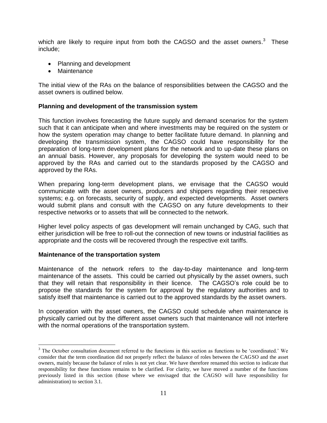which are likely to require input from both the CAGSO and the asset owners.<sup>3</sup> These include;

- Planning and development
- Maintenance

The initial view of the RAs on the balance of responsibilities between the CAGSO and the asset owners is outlined below.

#### **Planning and development of the transmission system**

This function involves forecasting the future supply and demand scenarios for the system such that it can anticipate when and where investments may be required on the system or how the system operation may change to better facilitate future demand. In planning and developing the transmission system, the CAGSO could have responsibility for the preparation of long-term development plans for the network and to up-date these plans on an annual basis. However, any proposals for developing the system would need to be approved by the RAs and carried out to the standards proposed by the CAGSO and approved by the RAs.

When preparing long-term development plans, we envisage that the CAGSO would communicate with the asset owners, producers and shippers regarding their respective systems; e.g. on forecasts, security of supply, and expected developments. Asset owners would submit plans and consult with the CAGSO on any future developments to their respective networks or to assets that will be connected to the network.

Higher level policy aspects of gas development will remain unchanged by CAG, such that either jurisdiction will be free to roll-out the connection of new towns or industrial facilities as appropriate and the costs will be recovered through the respective exit tariffs.

#### **Maintenance of the transportation system**

 $\overline{a}$ 

Maintenance of the network refers to the day-to-day maintenance and long-term maintenance of the assets. This could be carried out physically by the asset owners, such that they will retain that responsibility in their licence. The CAGSO's role could be to propose the standards for the system for approval by the regulatory authorities and to satisfy itself that maintenance is carried out to the approved standards by the asset owners.

In cooperation with the asset owners, the CAGSO could schedule when maintenance is physically carried out by the different asset owners such that maintenance will not interfere with the normal operations of the transportation system.

<sup>&</sup>lt;sup>3</sup> The October consultation document referred to the functions in this section as functions to be 'coordinated.' We consider that the term coordination did not properly reflect the balance of roles between the CAGSO and the asset owners, mainly because the balance of roles is not yet clear. We have therefore renamed this section to indicate that responsibility for these functions remains to be clarified. For clarity, we have moved a number of the functions previously listed in this section (those where we envisaged that the CAGSO will have responsibility for administration) to section 3.1.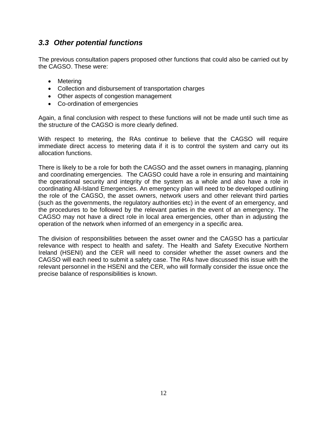## <span id="page-12-0"></span>*3.3 Other potential functions*

The previous consultation papers proposed other functions that could also be carried out by the CAGSO. These were:

- Metering
- Collection and disbursement of transportation charges
- Other aspects of congestion management
- Co-ordination of emergencies

Again, a final conclusion with respect to these functions will not be made until such time as the structure of the CAGSO is more clearly defined.

With respect to metering, the RAs continue to believe that the CAGSO will require immediate direct access to metering data if it is to control the system and carry out its allocation functions.

There is likely to be a role for both the CAGSO and the asset owners in managing, planning and coordinating emergencies. The CAGSO could have a role in ensuring and maintaining the operational security and integrity of the system as a whole and also have a role in coordinating All-Island Emergencies. An emergency plan will need to be developed outlining the role of the CAGSO, the asset owners, network users and other relevant third parties (such as the governments, the regulatory authorities etc) in the event of an emergency, and the procedures to be followed by the relevant parties in the event of an emergency. The CAGSO may not have a direct role in local area emergencies, other than in adjusting the operation of the network when informed of an emergency in a specific area.

The division of responsibilities between the asset owner and the CAGSO has a particular relevance with respect to health and safety. The Health and Safety Executive Northern Ireland (HSENI) and the CER will need to consider whether the asset owners and the CAGSO will each need to submit a safety case. The RAs have discussed this issue with the relevant personnel in the HSENI and the CER, who will formally consider the issue once the precise balance of responsibilities is known.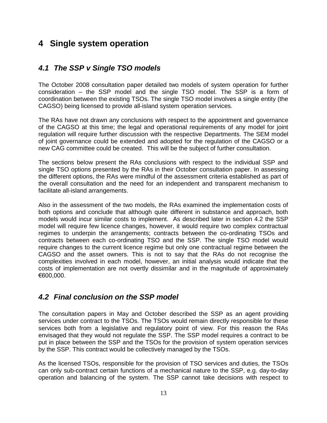## <span id="page-13-0"></span>**4 Single system operation**

## <span id="page-13-1"></span>*4.1 The SSP v Single TSO models*

The October 2008 consultation paper detailed two models of system operation for further consideration – the SSP model and the single TSO model. The SSP is a form of coordination between the existing TSOs. The single TSO model involves a single entity (the CAGSO) being licensed to provide all-island system operation services.

The RAs have not drawn any conclusions with respect to the appointment and governance of the CAGSO at this time; the legal and operational requirements of any model for joint regulation will require further discussion with the respective Departments. The SEM model of joint governance could be extended and adopted for the regulation of the CAGSO or a new CAG committee could be created. This will be the subject of further consultation.

The sections below present the RAs conclusions with respect to the individual SSP and single TSO options presented by the RAs in their October consultation paper. In assessing the different options, the RAs were mindful of the assessment criteria established as part of the overall consultation and the need for an independent and transparent mechanism to facilitate all-island arrangements.

Also in the assessment of the two models, the RAs examined the implementation costs of both options and conclude that although quite different in substance and approach, both models would incur similar costs to implement. As described later in section 4.2 the SSP model will require few licence changes, however, it would require two complex contractual regimes to underpin the arrangements; contracts between the co-ordinating TSOs and contracts between each co-ordinating TSO and the SSP. The single TSO model would require changes to the current licence regime but only one contractual regime between the CAGSO and the asset owners. This is not to say that the RAs do not recognise the complexities involved in each model, however, an initial analysis would indicate that the costs of implementation are not overtly dissimilar and in the magnitude of approximately €600,000.

## <span id="page-13-2"></span>*4.2 Final conclusion on the SSP model*

The consultation papers in May and October described the SSP as an agent providing services under contract to the TSOs. The TSOs would remain directly responsible for these services both from a legislative and regulatory point of view. For this reason the RAs envisaged that they would not regulate the SSP. The SSP model requires a contract to be put in place between the SSP and the TSOs for the provision of system operation services by the SSP. This contract would be collectively managed by the TSOs.

As the licensed TSOs, responsible for the provision of TSO services and duties, the TSOs can only sub-contract certain functions of a mechanical nature to the SSP, e.g. day-to-day operation and balancing of the system. The SSP cannot take decisions with respect to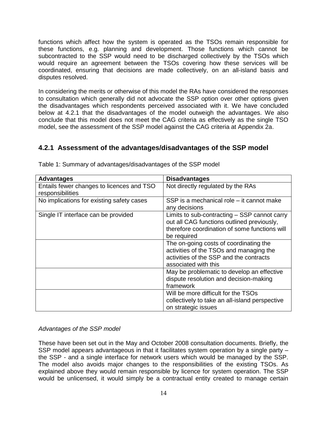functions which affect how the system is operated as the TSOs remain responsible for these functions, e.g. planning and development. Those functions which cannot be subcontracted to the SSP would need to be discharged collectively by the TSOs which would require an agreement between the TSOs covering how these services will be coordinated, ensuring that decisions are made collectively, on an all-island basis and disputes resolved.

In considering the merits or otherwise of this model the RAs have considered the responses to consultation which generally did not advocate the SSP option over other options given the disadvantages which respondents perceived associated with it. We have concluded below at 4.2.1 that the disadvantages of the model outweigh the advantages. We also conclude that this model does not meet the CAG criteria as effectively as the single TSO model, see the assessment of the SSP model against the CAG criteria at Appendix 2a.

## **4.2.1 Assessment of the advantages/disadvantages of the SSP model**

| <b>Advantages</b>                                             | <b>Disadvantages</b>                                                                                                                                       |
|---------------------------------------------------------------|------------------------------------------------------------------------------------------------------------------------------------------------------------|
| Entails fewer changes to licences and TSO<br>responsibilities | Not directly regulated by the RAs                                                                                                                          |
| No implications for existing safety cases                     | SSP is a mechanical role – it cannot make<br>any decisions                                                                                                 |
| Single IT interface can be provided                           | Limits to sub-contracting - SSP cannot carry<br>out all CAG functions outlined previously,<br>therefore coordination of some functions will<br>be required |
|                                                               | The on-going costs of coordinating the<br>activities of the TSOs and managing the<br>activities of the SSP and the contracts<br>associated with this       |
|                                                               | May be problematic to develop an effective<br>dispute resolution and decision-making<br>framework                                                          |
|                                                               | Will be more difficult for the TSOs<br>collectively to take an all-island perspective<br>on strategic issues                                               |

Table 1: Summary of advantages/disadvantages of the SSP model

### *Advantages of the SSP model*

These have been set out in the May and October 2008 consultation documents. Briefly, the SSP model appears advantageous in that it facilitates system operation by a single party – the SSP - and a single interface for network users which would be managed by the SSP. The model also avoids major changes to the responsibilities of the existing TSOs. As explained above they would remain responsible by licence for system operation. The SSP would be unlicensed, it would simply be a contractual entity created to manage certain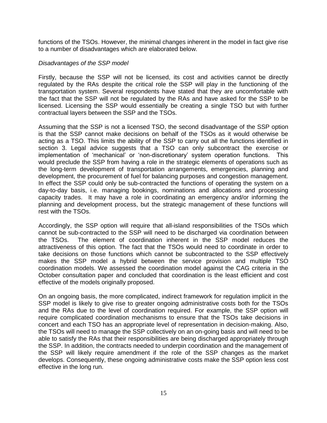functions of the TSOs. However, the minimal changes inherent in the model in fact give rise to a number of disadvantages which are elaborated below.

#### *Disadvantages of the SSP model*

Firstly, because the SSP will not be licensed, its cost and activities cannot be directly regulated by the RAs despite the critical role the SSP will play in the functioning of the transportation system. Several respondents have stated that they are uncomfortable with the fact that the SSP will not be regulated by the RAs and have asked for the SSP to be licensed. Licensing the SSP would essentially be creating a single TSO but with further contractual layers between the SSP and the TSOs.

Assuming that the SSP is not a licensed TSO, the second disadvantage of the SSP option is that the SSP cannot make decisions on behalf of the TSOs as it would otherwise be acting as a TSO. This limits the ability of the SSP to carry out all the functions identified in section 3. Legal advice suggests that a TSO can only subcontract the exercise or implementation of 'mechanical' or 'non-discretionary' system operation functions. This would preclude the SSP from having a role in the strategic elements of operations such as the long-term development of transportation arrangements, emergencies, planning and development, the procurement of fuel for balancing purposes and congestion management. In effect the SSP could only be sub-contracted the functions of operating the system on a day-to-day basis, i.e. managing bookings, nominations and allocations and processing capacity trades. It may have a role in coordinating an emergency and/or informing the planning and development process, but the strategic management of these functions will rest with the TSOs.

Accordingly, the SSP option will require that all-island responsibilities of the TSOs which cannot be sub-contracted to the SSP will need to be discharged via coordination between the TSOs. The element of coordination inherent in the SSP model reduces the attractiveness of this option. The fact that the TSOs would need to coordinate in order to take decisions on those functions which cannot be subcontracted to the SSP effectively makes the SSP model a hybrid between the service provision and multiple TSO coordination models. We assessed the coordination model against the CAG criteria in the October consultation paper and concluded that coordination is the least efficient and cost effective of the models originally proposed.

On an ongoing basis, the more complicated, indirect framework for regulation implicit in the SSP model is likely to give rise to greater ongoing administrative costs both for the TSOs and the RAs due to the level of coordination required. For example, the SSP option will require complicated coordination mechanisms to ensure that the TSOs take decisions in concert and each TSO has an appropriate level of representation in decision-making. Also, the TSOs will need to manage the SSP collectively on an on-going basis and will need to be able to satisfy the RAs that their responsibilities are being discharged appropriately through the SSP. In addition, the contracts needed to underpin coordination and the management of the SSP will likely require amendment if the role of the SSP changes as the market develops. Consequently, these ongoing administrative costs make the SSP option less cost effective in the long run.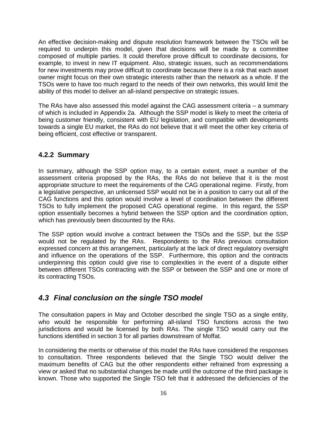An effective decision-making and dispute resolution framework between the TSOs will be required to underpin this model, given that decisions will be made by a committee composed of multiple parties. It could therefore prove difficult to coordinate decisions, for example, to invest in new IT equipment. Also, strategic issues, such as recommendations for new investments may prove difficult to coordinate because there is a risk that each asset owner might focus on their own strategic interests rather than the network as a whole. If the TSOs were to have too much regard to the needs of their own networks, this would limit the ability of this model to deliver an all-island perspective on strategic issues.

The RAs have also assessed this model against the CAG assessment criteria – a summary of which is included in Appendix 2a. Although the SSP model is likely to meet the criteria of being customer friendly, consistent with EU legislation, and compatible with developments towards a single EU market, the RAs do not believe that it will meet the other key criteria of being efficient, cost effective or transparent.

### **4.2.2 Summary**

In summary, although the SSP option may, to a certain extent, meet a number of the assessment criteria proposed by the RAs, the RAs do not believe that it is the most appropriate structure to meet the requirements of the CAG operational regime. Firstly, from a legislative perspective, an unlicensed SSP would not be in a position to carry out all of the CAG functions and this option would involve a level of coordination between the different TSOs to fully implement the proposed CAG operational regime. In this regard, the SSP option essentially becomes a hybrid between the SSP option and the coordination option, which has previously been discounted by the RAs.

The SSP option would involve a contract between the TSOs and the SSP, but the SSP would not be regulated by the RAs. Respondents to the RAs previous consultation expressed concern at this arrangement, particularly at the lack of direct regulatory oversight and influence on the operations of the SSP. Furthermore, this option and the contracts underpinning this option could give rise to complexities in the event of a dispute either between different TSOs contracting with the SSP or between the SSP and one or more of its contracting TSOs.

## <span id="page-16-0"></span>*4.3 Final conclusion on the single TSO model*

The consultation papers in May and October described the single TSO as a single entity, who would be responsible for performing all-island TSO functions across the two jurisdictions and would be licensed by both RAs. The single TSO would carry out the functions identified in section 3 for all parties downstream of Moffat.

In considering the merits or otherwise of this model the RAs have considered the responses to consultation. Three respondents believed that the Single TSO would deliver the maximum benefits of CAG but the other respondents either refrained from expressing a view or asked that no substantial changes be made until the outcome of the third package is known. Those who supported the Single TSO felt that it addressed the deficiencies of the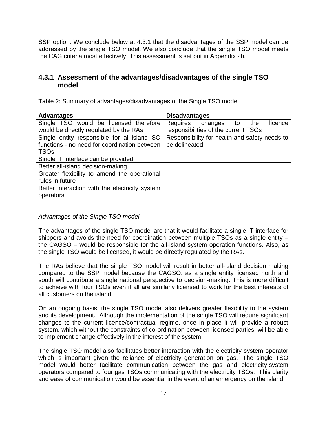SSP option. We conclude below at 4.3.1 that the disadvantages of the SSP model can be addressed by the single TSO model. We also conclude that the single TSO model meets the CAG criteria most effectively. This assessment is set out in Appendix 2b.

### **4.3.1 Assessment of the advantages/disadvantages of the single TSO model**

Table 2: Summary of advantages/disadvantages of the Single TSO model

| <b>Advantages</b>                              | <b>Disadvantages</b>                          |
|------------------------------------------------|-----------------------------------------------|
| Single TSO would be licensed therefore         | Requires changes to<br>licence<br>the         |
| would be directly regulated by the RAs         | responsibilities of the current TSOs          |
| Single entity responsible for all-island SO    | Responsibility for health and safety needs to |
| functions - no need for coordination between   | be delineated                                 |
| <b>TSOs</b>                                    |                                               |
| Single IT interface can be provided            |                                               |
| Better all-island decision-making              |                                               |
| Greater flexibility to amend the operational   |                                               |
| rules in future                                |                                               |
| Better interaction with the electricity system |                                               |
| operators                                      |                                               |

### *Advantages of the Single TSO model*

The advantages of the single TSO model are that it would facilitate a single IT interface for shippers and avoids the need for coordination between multiple TSOs as a single entity – the CAGSO – would be responsible for the all-island system operation functions. Also, as the single TSO would be licensed, it would be directly regulated by the RAs.

The RAs believe that the single TSO model will result in better all-island decision making compared to the SSP model because the CAGSO, as a single entity licensed north and south will contribute a single national perspective to decision-making. This is more difficult to achieve with four TSOs even if all are similarly licensed to work for the best interests of all customers on the island.

On an ongoing basis, the single TSO model also delivers greater flexibility to the system and its development. Although the implementation of the single TSO will require significant changes to the current licence/contractual regime, once in place it will provide a robust system, which without the constraints of co-ordination between licensed parties, will be able to implement change effectively in the interest of the system.

The single TSO model also facilitates better interaction with the electricity system operator which is important given the reliance of electricity generation on gas. The single TSO model would better facilitate communication between the gas and electricity system operators compared to four gas TSOs communicating with the electricity TSOs. This clarity and ease of communication would be essential in the event of an emergency on the island.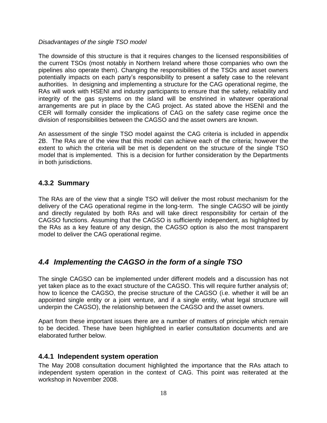#### *Disadvantages of the single TSO model*

The downside of this structure is that it requires changes to the licensed responsibilities of the current TSOs (most notably in Northern Ireland where those companies who own the pipelines also operate them). Changing the responsibilities of the TSOs and asset owners potentially impacts on each party's responsibility to present a safety case to the relevant authorities. In designing and implementing a structure for the CAG operational regime, the RAs will work with HSENI and industry participants to ensure that the safety, reliability and integrity of the gas systems on the island will be enshrined in whatever operational arrangements are put in place by the CAG project. As stated above the HSENI and the CER will formally consider the implications of CAG on the safety case regime once the division of responsibilities between the CAGSO and the asset owners are known.

An assessment of the single TSO model against the CAG criteria is included in appendix 2B. The RAs are of the view that this model can achieve each of the criteria; however the extent to which the criteria will be met is dependent on the structure of the single TSO model that is implemented. This is a decision for further consideration by the Departments in both jurisdictions.

### **4.3.2 Summary**

The RAs are of the view that a single TSO will deliver the most robust mechanism for the delivery of the CAG operational regime in the long-term. The single CAGSO will be jointly and directly regulated by both RAs and will take direct responsibility for certain of the CAGSO functions. Assuming that the CAGSO is sufficiently independent, as highlighted by the RAs as a key feature of any design, the CAGSO option is also the most transparent model to deliver the CAG operational regime.

## <span id="page-18-0"></span>*4.4 Implementing the CAGSO in the form of a single TSO*

The single CAGSO can be implemented under different models and a discussion has not yet taken place as to the exact structure of the CAGSO. This will require further analysis of; how to licence the CAGSO, the precise structure of the CAGSO (i.e. whether it will be an appointed single entity or a joint venture, and if a single entity, what legal structure will underpin the CAGSO), the relationship between the CAGSO and the asset owners.

Apart from these important issues there are a number of matters of principle which remain to be decided. These have been highlighted in earlier consultation documents and are elaborated further below.

### **4.4.1 Independent system operation**

The May 2008 consultation document highlighted the importance that the RAs attach to independent system operation in the context of CAG. This point was reiterated at the workshop in November 2008.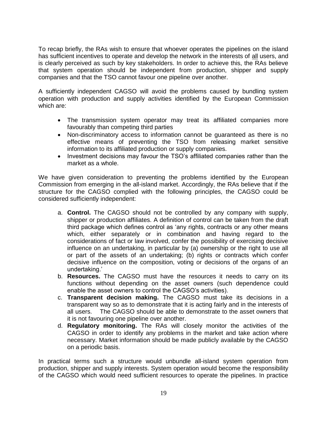To recap briefly, the RAs wish to ensure that whoever operates the pipelines on the island has sufficient incentives to operate and develop the network in the interests of all users, and is clearly perceived as such by key stakeholders. In order to achieve this, the RAs believe that system operation should be independent from production, shipper and supply companies and that the TSO cannot favour one pipeline over another.

A sufficiently independent CAGSO will avoid the problems caused by bundling system operation with production and supply activities identified by the European Commission which are:

- The transmission system operator may treat its affiliated companies more favourably than competing third parties
- Non-discriminatory access to information cannot be guaranteed as there is no effective means of preventing the TSO from releasing market sensitive information to its affiliated production or supply companies.
- Investment decisions may favour the TSO's affiliated companies rather than the market as a whole.

We have given consideration to preventing the problems identified by the European Commission from emerging in the all-island market. Accordingly, the RAs believe that if the structure for the CAGSO complied with the following principles, the CAGSO could be considered sufficiently independent:

- a. **Control.** The CAGSO should not be controlled by any company with supply, shipper or production affiliates. A definition of control can be taken from the draft third package which defines control as 'any rights, contracts or any other means which, either separately or in combination and having regard to the considerations of fact or law involved, confer the possibility of exercising decisive influence on an undertaking, in particular by (a) ownership or the right to use all or part of the assets of an undertaking; (b) rights or contracts which confer decisive influence on the composition, voting or decisions of the organs of an undertaking.'
- b. **Resources.** The CAGSO must have the resources it needs to carry on its functions without depending on the asset owners (such dependence could enable the asset owners to control the CAGSO's activities).
- c. **Transparent decision making.** The CAGSO must take its decisions in a transparent way so as to demonstrate that it is acting fairly and in the interests of all users. The CAGSO should be able to demonstrate to the asset owners that it is not favouring one pipeline over another.
- d. **Regulatory monitoring.** The RAs will closely monitor the activities of the CAGSO in order to identify any problems in the market and take action where necessary. Market information should be made publicly available by the CAGSO on a periodic basis.

In practical terms such a structure would unbundle all-island system operation from production, shipper and supply interests. System operation would become the responsibility of the CAGSO which would need sufficient resources to operate the pipelines. In practice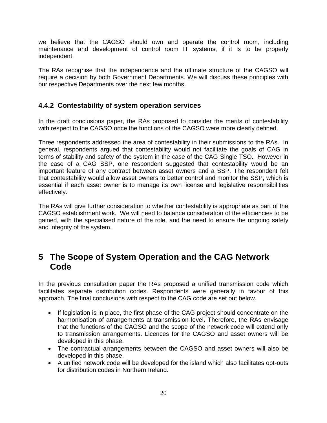we believe that the CAGSO should own and operate the control room, including maintenance and development of control room IT systems, if it is to be properly independent.

The RAs recognise that the independence and the ultimate structure of the CAGSO will require a decision by both Government Departments. We will discuss these principles with our respective Departments over the next few months.

### **4.4.2 Contestability of system operation services**

In the draft conclusions paper, the RAs proposed to consider the merits of contestability with respect to the CAGSO once the functions of the CAGSO were more clearly defined.

Three respondents addressed the area of contestability in their submissions to the RAs. In general, respondents argued that contestability would not facilitate the goals of CAG in terms of stability and safety of the system in the case of the CAG Single TSO. However in the case of a CAG SSP, one respondent suggested that contestability would be an important feature of any contract between asset owners and a SSP. The respondent felt that contestability would allow asset owners to better control and monitor the SSP, which is essential if each asset owner is to manage its own license and legislative responsibilities effectively.

The RAs will give further consideration to whether contestability is appropriate as part of the CAGSO establishment work. We will need to balance consideration of the efficiencies to be gained, with the specialised nature of the role, and the need to ensure the ongoing safety and integrity of the system.

## <span id="page-20-0"></span>**5 The Scope of System Operation and the CAG Network Code**

In the previous consultation paper the RAs proposed a unified transmission code which facilitates separate distribution codes. Respondents were generally in favour of this approach. The final conclusions with respect to the CAG code are set out below.

- If legislation is in place, the first phase of the CAG project should concentrate on the harmonisation of arrangements at transmission level. Therefore, the RAs envisage that the functions of the CAGSO and the scope of the network code will extend only to transmission arrangements. Licences for the CAGSO and asset owners will be developed in this phase.
- The contractual arrangements between the CAGSO and asset owners will also be developed in this phase.
- A unified network code will be developed for the island which also facilitates opt-outs for distribution codes in Northern Ireland.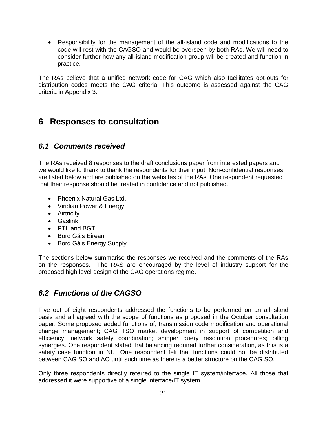Responsibility for the management of the all-island code and modifications to the code will rest with the CAGSO and would be overseen by both RAs. We will need to consider further how any all-island modification group will be created and function in practice.

The RAs believe that a unified network code for CAG which also facilitates opt-outs for distribution codes meets the CAG criteria. This outcome is assessed against the CAG criteria in Appendix 3.

## <span id="page-21-0"></span>**6 Responses to consultation**

## <span id="page-21-1"></span>*6.1 Comments received*

The RAs received 8 responses to the draft conclusions paper from interested papers and we would like to thank to thank the respondents for their input. Non-confidential responses are listed below and are published on the websites of the RAs. One respondent requested that their response should be treated in confidence and not published.

- Phoenix Natural Gas Ltd.
- Viridian Power & Energy
- Airtricity
- Gaslink
- PTL and BGTL
- Bord Gáis Eireann
- Bord Gáis Energy Supply

The sections below summarise the responses we received and the comments of the RAs on the responses. The RAS are encouraged by the level of industry support for the proposed high level design of the CAG operations regime.

## <span id="page-21-2"></span>*6.2 Functions of the CAGSO*

Five out of eight respondents addressed the functions to be performed on an all-island basis and all agreed with the scope of functions as proposed in the October consultation paper. Some proposed added functions of; transmission code modification and operational change management; CAG TSO market development in support of competition and efficiency; network safety coordination; shipper query resolution procedures; billing synergies. One respondent stated that balancing required further consideration, as this is a safety case function in NI. One respondent felt that functions could not be distributed between CAG SO and AO until such time as there is a better structure on the CAG SO.

Only three respondents directly referred to the single IT system/interface. All those that addressed it were supportive of a single interface/IT system.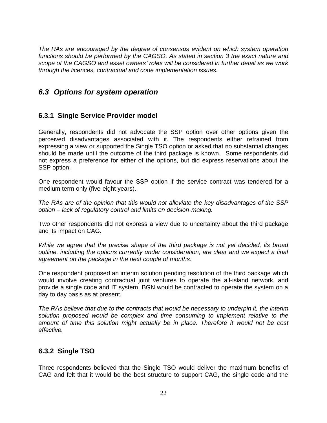*The RAs are encouraged by the degree of consensus evident on which system operation functions should be performed by the CAGSO. As stated in section 3 the exact nature and scope of the CAGSO and asset owners' roles will be considered in further detail as we work through the licences, contractual and code implementation issues.* 

## <span id="page-22-0"></span>*6.3 Options for system operation*

### **6.3.1 Single Service Provider model**

Generally, respondents did not advocate the SSP option over other options given the perceived disadvantages associated with it. The respondents either refrained from expressing a view or supported the Single TSO option or asked that no substantial changes should be made until the outcome of the third package is known. Some respondents did not express a preference for either of the options, but did express reservations about the SSP option.

One respondent would favour the SSP option if the service contract was tendered for a medium term only (five-eight years).

*The RAs are of the opinion that this would not alleviate the key disadvantages of the SSP option – lack of regulatory control and limits on decision-making.* 

Two other respondents did not express a view due to uncertainty about the third package and its impact on CAG.

*While we agree that the precise shape of the third package is not yet decided, its broad outline, including the options currently under consideration, are clear and we expect a final agreement on the package in the next couple of months.* 

One respondent proposed an interim solution pending resolution of the third package which would involve creating contractual joint ventures to operate the all-island network, and provide a single code and IT system. BGN would be contracted to operate the system on a day to day basis as at present.

*The RAs believe that due to the contracts that would be necessary to underpin it, the interim solution proposed would be complex and time consuming to implement relative to the amount of time this solution might actually be in place. Therefore it would not be cost effective.*

### **6.3.2 Single TSO**

Three respondents believed that the Single TSO would deliver the maximum benefits of CAG and felt that it would be the best structure to support CAG, the single code and the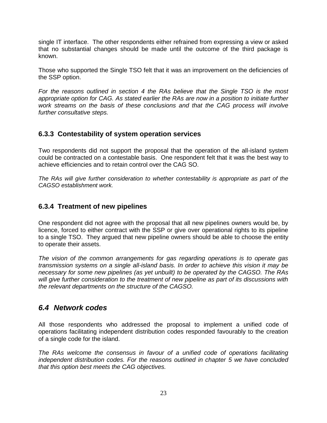single IT interface. The other respondents either refrained from expressing a view or asked that no substantial changes should be made until the outcome of the third package is known.

Those who supported the Single TSO felt that it was an improvement on the deficiencies of the SSP option.

*For the reasons outlined in section 4 the RAs believe that the Single TSO is the most appropriate option for CAG. As stated earlier the RAs are now in a position to initiate further work streams on the basis of these conclusions and that the CAG process will involve further consultative steps.* 

### **6.3.3 Contestability of system operation services**

Two respondents did not support the proposal that the operation of the all-island system could be contracted on a contestable basis. One respondent felt that it was the best way to achieve efficiencies and to retain control over the CAG SO.

*The RAs will give further consideration to whether contestability is appropriate as part of the CAGSO establishment work.* 

### **6.3.4 Treatment of new pipelines**

One respondent did not agree with the proposal that all new pipelines owners would be, by licence, forced to either contract with the SSP or give over operational rights to its pipeline to a single TSO. They argued that new pipeline owners should be able to choose the entity to operate their assets.

*The vision of the common arrangements for gas regarding operations is to operate gas transmission systems on a single all-island basis. In order to achieve this vision it may be necessary for some new pipelines (as yet unbuilt) to be operated by the CAGSO. The RAs will give further consideration to the treatment of new pipeline as part of its discussions with the relevant departments on the structure of the CAGSO.* 

## <span id="page-23-0"></span>*6.4 Network codes*

All those respondents who addressed the proposal to implement a unified code of operations facilitating independent distribution codes responded favourably to the creation of a single code for the island.

*The RAs welcome the consensus in favour of a unified code of operations facilitating independent distribution codes. For the reasons outlined in chapter 5 we have concluded that this option best meets the CAG objectives.*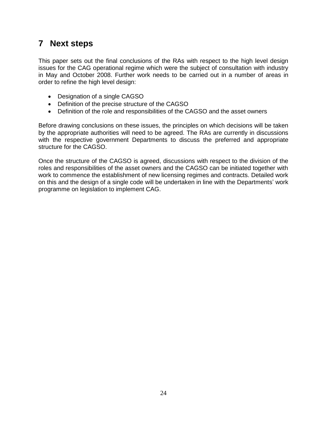## <span id="page-24-0"></span>**7 Next steps**

This paper sets out the final conclusions of the RAs with respect to the high level design issues for the CAG operational regime which were the subject of consultation with industry in May and October 2008. Further work needs to be carried out in a number of areas in order to refine the high level design:

- Designation of a single CAGSO
- Definition of the precise structure of the CAGSO
- Definition of the role and responsibilities of the CAGSO and the asset owners

Before drawing conclusions on these issues, the principles on which decisions will be taken by the appropriate authorities will need to be agreed. The RAs are currently in discussions with the respective government Departments to discuss the preferred and appropriate structure for the CAGSO.

Once the structure of the CAGSO is agreed, discussions with respect to the division of the roles and responsibilities of the asset owners and the CAGSO can be initiated together with work to commence the establishment of new licensing regimes and contracts. Detailed work on this and the design of a single code will be undertaken in line with the Departments' work programme on legislation to implement CAG.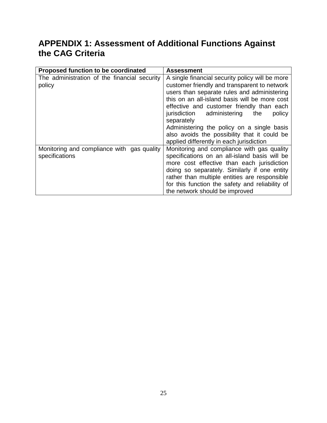## <span id="page-25-0"></span>**APPENDIX 1: Assessment of Additional Functions Against the CAG Criteria**

| Proposed function to be coordinated                          | <b>Assessment</b>                                                                                                                                                                                                                                                                                                                                                                                                                                |
|--------------------------------------------------------------|--------------------------------------------------------------------------------------------------------------------------------------------------------------------------------------------------------------------------------------------------------------------------------------------------------------------------------------------------------------------------------------------------------------------------------------------------|
| The administration of the financial security<br>policy       | A single financial security policy will be more<br>customer friendly and transparent to network<br>users than separate rules and administering<br>this on an all-island basis will be more cost<br>effective and customer friendly than each<br>jurisdiction administering the<br>policy<br>separately<br>Administering the policy on a single basis<br>also avoids the possibility that it could be<br>applied differently in each jurisdiction |
| Monitoring and compliance with gas quality<br>specifications | Monitoring and compliance with gas quality<br>specifications on an all-island basis will be<br>more cost effective than each jurisdiction<br>doing so separately. Similarly if one entity<br>rather than multiple entities are responsible<br>for this function the safety and reliability of<br>the network should be improved                                                                                                                  |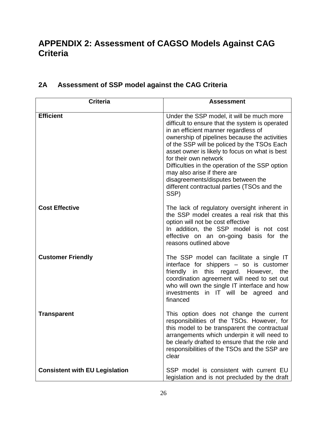## <span id="page-26-0"></span>**APPENDIX 2: Assessment of CAGSO Models Against CAG Criteria**

| <b>Criteria</b>                       | <b>Assessment</b>                                                                                                                                                                                                                                                                                                                                                                                                                                                                              |
|---------------------------------------|------------------------------------------------------------------------------------------------------------------------------------------------------------------------------------------------------------------------------------------------------------------------------------------------------------------------------------------------------------------------------------------------------------------------------------------------------------------------------------------------|
| <b>Efficient</b>                      | Under the SSP model, it will be much more<br>difficult to ensure that the system is operated<br>in an efficient manner regardless of<br>ownership of pipelines because the activities<br>of the SSP will be policed by the TSOs Each<br>asset owner is likely to focus on what is best<br>for their own network<br>Difficulties in the operation of the SSP option<br>may also arise if there are<br>disagreements/disputes between the<br>different contractual parties (TSOs and the<br>SSP) |
| <b>Cost Effective</b>                 | The lack of regulatory oversight inherent in<br>the SSP model creates a real risk that this<br>option will not be cost effective<br>In addition, the SSP model is not cost<br>effective on an on-going basis for the<br>reasons outlined above                                                                                                                                                                                                                                                 |
| <b>Customer Friendly</b>              | The SSP model can facilitate a single IT<br>interface for shippers - so is customer<br>friendly in this regard. However, the<br>coordination agreement will need to set out<br>who will own the single IT interface and how<br>investments in IT will be agreed<br>and<br>financed                                                                                                                                                                                                             |
| <b>Transparent</b>                    | This option does not change the current<br>responsibilities of the TSOs. However, for<br>this model to be transparent the contractual<br>arrangements which underpin it will need to<br>be clearly drafted to ensure that the role and<br>responsibilities of the TSOs and the SSP are<br>clear                                                                                                                                                                                                |
| <b>Consistent with EU Legislation</b> | SSP model is consistent with current EU<br>legislation and is not precluded by the draft                                                                                                                                                                                                                                                                                                                                                                                                       |

## **2A Assessment of SSP model against the CAG Criteria**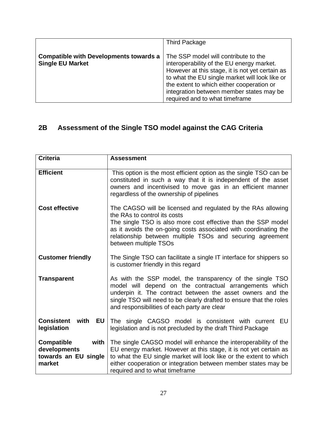|                                                                          | <b>Third Package</b>                                                                                                                                                                                                                                                                                              |
|--------------------------------------------------------------------------|-------------------------------------------------------------------------------------------------------------------------------------------------------------------------------------------------------------------------------------------------------------------------------------------------------------------|
| <b>Compatible with Developments towards a</b><br><b>Single EU Market</b> | The SSP model will contribute to the<br>interoperability of the EU energy market.<br>However at this stage, it is not yet certain as<br>to what the EU single market will look like or<br>the extent to which either cooperation or<br>integration between member states may be<br>required and to what timeframe |

## **2B Assessment of the Single TSO model against the CAG Criteria**

| <b>Criteria</b>                                                             | <b>Assessment</b>                                                                                                                                                                                                                                                                                                       |
|-----------------------------------------------------------------------------|-------------------------------------------------------------------------------------------------------------------------------------------------------------------------------------------------------------------------------------------------------------------------------------------------------------------------|
| <b>Efficient</b>                                                            | This option is the most efficient option as the single TSO can be<br>constituted in such a way that it is independent of the asset<br>owners and incentivised to move gas in an efficient manner<br>regardless of the ownership of pipelines                                                                            |
| <b>Cost effective</b>                                                       | The CAGSO will be licensed and regulated by the RAs allowing<br>the RAs to control its costs<br>The single TSO is also more cost effective than the SSP model<br>as it avoids the on-going costs associated with coordinating the<br>relationship between multiple TSOs and securing agreement<br>between multiple TSOs |
| <b>Customer friendly</b>                                                    | The Single TSO can facilitate a single IT interface for shippers so<br>is customer friendly in this regard                                                                                                                                                                                                              |
| <b>Transparent</b>                                                          | As with the SSP model, the transparency of the single TSO<br>model will depend on the contractual arrangements which<br>underpin it. The contract between the asset owners and the<br>single TSO will need to be clearly drafted to ensure that the roles<br>and responsibilities of each party are clear               |
| <b>Consistent</b> with<br><b>EU</b><br>legislation                          | The single CAGSO model is consistent with current EU<br>legislation and is not precluded by the draft Third Package                                                                                                                                                                                                     |
| <b>Compatible</b><br>with<br>developments<br>towards an EU single<br>market | The single CAGSO model will enhance the interoperability of the<br>EU energy market. However at this stage, it is not yet certain as<br>to what the EU single market will look like or the extent to which<br>either cooperation or integration between member states may be<br>required and to what timeframe          |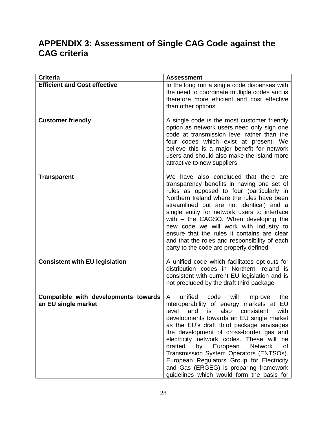## <span id="page-28-0"></span>**APPENDIX 3: Assessment of Single CAG Code against the CAG criteria**

| <b>Criteria</b>                                             | <b>Assessment</b>                                                                                                                                                                                                                                                                                                                                                                                                                                                                                                                                   |
|-------------------------------------------------------------|-----------------------------------------------------------------------------------------------------------------------------------------------------------------------------------------------------------------------------------------------------------------------------------------------------------------------------------------------------------------------------------------------------------------------------------------------------------------------------------------------------------------------------------------------------|
| <b>Efficient and Cost effective</b>                         | In the long run a single code dispenses with<br>the need to coordinate multiple codes and is<br>therefore more efficient and cost effective<br>than other options                                                                                                                                                                                                                                                                                                                                                                                   |
| <b>Customer friendly</b>                                    | A single code is the most customer friendly<br>option as network users need only sign one<br>code at transmission level rather than the<br>four codes which exist at present. We<br>believe this is a major benefit for network<br>users and should also make the island more<br>attractive to new suppliers                                                                                                                                                                                                                                        |
| <b>Transparent</b>                                          | We have also concluded that there are<br>transparency benefits in having one set of<br>rules as opposed to four (particularly in<br>Northern Ireland where the rules have been<br>streamlined but are not identical) and a<br>single entity for network users to interface<br>with - the CAGSO. When developing the<br>new code we will work with industry to<br>ensure that the rules it contains are clear<br>and that the roles and responsibility of each<br>party to the code are properly defined                                             |
| <b>Consistent with EU legislation</b>                       | A unified code which facilitates opt-outs for<br>distribution codes in Northern Ireland is<br>consistent with current EU legislation and is<br>not precluded by the draft third package                                                                                                                                                                                                                                                                                                                                                             |
| Compatible with developments towards<br>an EU single market | unified code<br>will<br>the<br>A<br>improve<br>interoperability of energy markets at EU<br>level and is also consistent<br>with<br>developments towards an EU single market<br>as the EU's draft third package envisages<br>the development of cross-border gas and<br>electricity network codes. These will be<br>drafted<br>by<br>European<br><b>Network</b><br>οf<br>Transmission System Operators (ENTSOs).<br>European Regulators Group for Electricity<br>and Gas (ERGEG) is preparing framework<br>guidelines which would form the basis for |